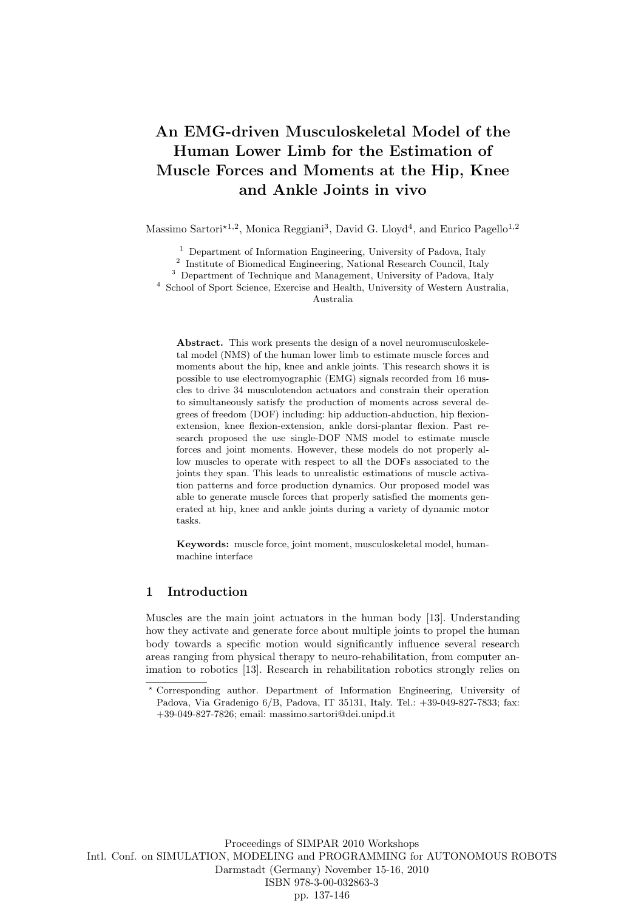# An EMG-driven Musculoskeletal Model of the Human Lower Limb for the Estimation of Muscle Forces and Moments at the Hip, Knee and Ankle Joints in vivo

Massimo Sartori<sup>\*1,2</sup>, Monica Reggiani<sup>3</sup>, David G. Lloyd<sup>4</sup>, and Enrico Pagello<sup>1,2</sup>

<sup>1</sup> Department of Information Engineering, University of Padova, Italy

<sup>2</sup> Institute of Biomedical Engineering, National Research Council, Italy

<sup>3</sup> Department of Technique and Management, University of Padova, Italy

<sup>4</sup> School of Sport Science, Exercise and Health, University of Western Australia,

Australia

Abstract. This work presents the design of a novel neuromusculoskeletal model (NMS) of the human lower limb to estimate muscle forces and moments about the hip, knee and ankle joints. This research shows it is possible to use electromyographic (EMG) signals recorded from 16 muscles to drive 34 musculotendon actuators and constrain their operation to simultaneously satisfy the production of moments across several degrees of freedom (DOF) including: hip adduction-abduction, hip flexionextension, knee flexion-extension, ankle dorsi-plantar flexion. Past research proposed the use single-DOF NMS model to estimate muscle forces and joint moments. However, these models do not properly allow muscles to operate with respect to all the DOFs associated to the joints they span. This leads to unrealistic estimations of muscle activation patterns and force production dynamics. Our proposed model was able to generate muscle forces that properly satisfied the moments generated at hip, knee and ankle joints during a variety of dynamic motor tasks.

Keywords: muscle force, joint moment, musculoskeletal model, humanmachine interface

## 1 Introduction

Muscles are the main joint actuators in the human body [13]. Understanding how they activate and generate force about multiple joints to propel the human body towards a specific motion would significantly influence several research areas ranging from physical therapy to neuro-rehabilitation, from computer animation to robotics [13]. Research in rehabilitation robotics strongly relies on

<sup>?</sup> Corresponding author. Department of Information Engineering, University of Padova, Via Gradenigo 6/B, Padova, IT 35131, Italy. Tel.: +39-049-827-7833; fax: +39-049-827-7826; email: massimo.sartori@dei.unipd.it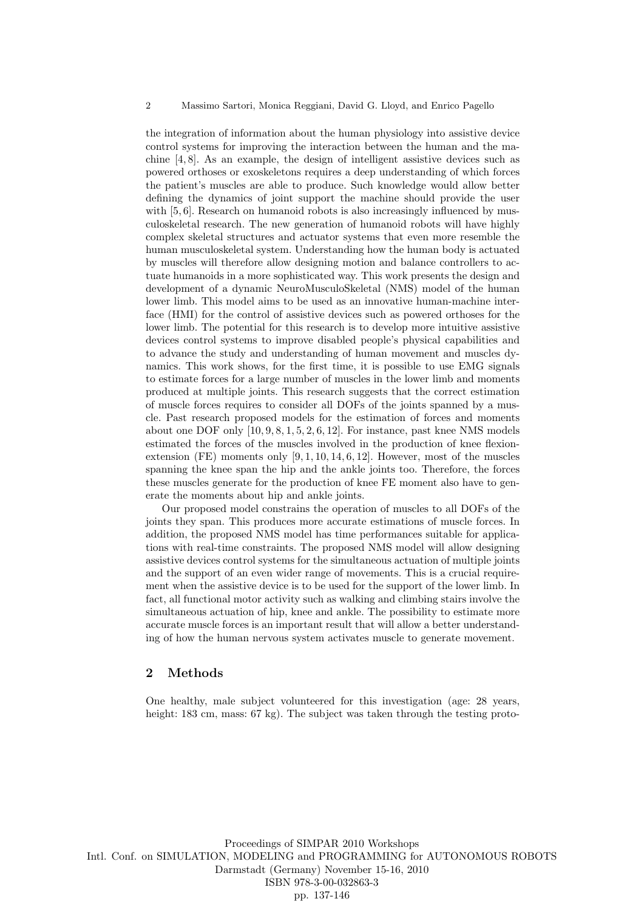the integration of information about the human physiology into assistive device control systems for improving the interaction between the human and the machine [4, 8]. As an example, the design of intelligent assistive devices such as powered orthoses or exoskeletons requires a deep understanding of which forces the patient's muscles are able to produce. Such knowledge would allow better defining the dynamics of joint support the machine should provide the user with [5, 6]. Research on humanoid robots is also increasingly influenced by musculoskeletal research. The new generation of humanoid robots will have highly complex skeletal structures and actuator systems that even more resemble the human musculoskeletal system. Understanding how the human body is actuated by muscles will therefore allow designing motion and balance controllers to actuate humanoids in a more sophisticated way. This work presents the design and development of a dynamic NeuroMusculoSkeletal (NMS) model of the human lower limb. This model aims to be used as an innovative human-machine interface (HMI) for the control of assistive devices such as powered orthoses for the lower limb. The potential for this research is to develop more intuitive assistive devices control systems to improve disabled people's physical capabilities and to advance the study and understanding of human movement and muscles dynamics. This work shows, for the first time, it is possible to use EMG signals to estimate forces for a large number of muscles in the lower limb and moments produced at multiple joints. This research suggests that the correct estimation of muscle forces requires to consider all DOFs of the joints spanned by a muscle. Past research proposed models for the estimation of forces and moments about one DOF only  $[10, 9, 8, 1, 5, 2, 6, 12]$ . For instance, past knee NMS models estimated the forces of the muscles involved in the production of knee flexionextension (FE) moments only  $[9, 1, 10, 14, 6, 12]$ . However, most of the muscles spanning the knee span the hip and the ankle joints too. Therefore, the forces these muscles generate for the production of knee FE moment also have to generate the moments about hip and ankle joints.

Our proposed model constrains the operation of muscles to all DOFs of the joints they span. This produces more accurate estimations of muscle forces. In addition, the proposed NMS model has time performances suitable for applications with real-time constraints. The proposed NMS model will allow designing assistive devices control systems for the simultaneous actuation of multiple joints and the support of an even wider range of movements. This is a crucial requirement when the assistive device is to be used for the support of the lower limb. In fact, all functional motor activity such as walking and climbing stairs involve the simultaneous actuation of hip, knee and ankle. The possibility to estimate more accurate muscle forces is an important result that will allow a better understanding of how the human nervous system activates muscle to generate movement.

## 2 Methods

One healthy, male subject volunteered for this investigation (age: 28 years, height: 183 cm, mass: 67 kg). The subject was taken through the testing proto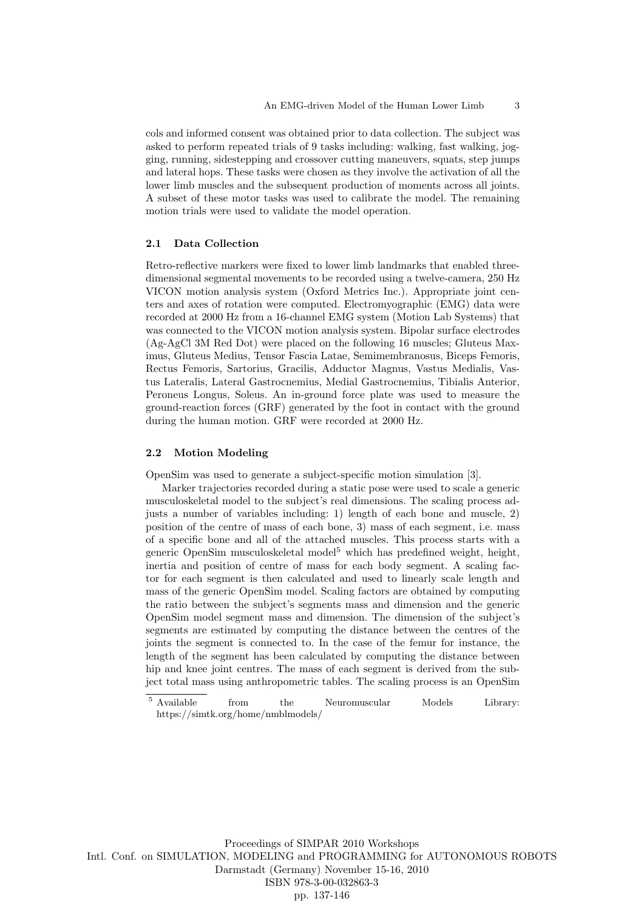cols and informed consent was obtained prior to data collection. The subject was asked to perform repeated trials of 9 tasks including: walking, fast walking, jogging, running, sidestepping and crossover cutting maneuvers, squats, step jumps and lateral hops. These tasks were chosen as they involve the activation of all the lower limb muscles and the subsequent production of moments across all joints. A subset of these motor tasks was used to calibrate the model. The remaining motion trials were used to validate the model operation.

## 2.1 Data Collection

Retro-reflective markers were fixed to lower limb landmarks that enabled threedimensional segmental movements to be recorded using a twelve-camera, 250 Hz VICON motion analysis system (Oxford Metrics Inc.). Appropriate joint centers and axes of rotation were computed. Electromyographic (EMG) data were recorded at 2000 Hz from a 16-channel EMG system (Motion Lab Systems) that was connected to the VICON motion analysis system. Bipolar surface electrodes (Ag-AgCl 3M Red Dot) were placed on the following 16 muscles; Gluteus Maximus, Gluteus Medius, Tensor Fascia Latae, Semimembranosus, Biceps Femoris, Rectus Femoris, Sartorius, Gracilis, Adductor Magnus, Vastus Medialis, Vastus Lateralis, Lateral Gastrocnemius, Medial Gastrocnemius, Tibialis Anterior, Peroneus Longus, Soleus. An in-ground force plate was used to measure the ground-reaction forces (GRF) generated by the foot in contact with the ground during the human motion. GRF were recorded at 2000 Hz.

#### 2.2 Motion Modeling

OpenSim was used to generate a subject-specific motion simulation [3].

Marker trajectories recorded during a static pose were used to scale a generic musculoskeletal model to the subject's real dimensions. The scaling process adjusts a number of variables including: 1) length of each bone and muscle, 2) position of the centre of mass of each bone, 3) mass of each segment, i.e. mass of a specific bone and all of the attached muscles. This process starts with a generic OpenSim musculoskeletal model<sup>5</sup> which has predefined weight, height, inertia and position of centre of mass for each body segment. A scaling factor for each segment is then calculated and used to linearly scale length and mass of the generic OpenSim model. Scaling factors are obtained by computing the ratio between the subject's segments mass and dimension and the generic OpenSim model segment mass and dimension. The dimension of the subject's segments are estimated by computing the distance between the centres of the joints the segment is connected to. In the case of the femur for instance, the length of the segment has been calculated by computing the distance between hip and knee joint centres. The mass of each segment is derived from the subject total mass using anthropometric tables. The scaling process is an OpenSim

<sup>5</sup> Available from the Neuromuscular Models Library: https://simtk.org/home/nmblmodels/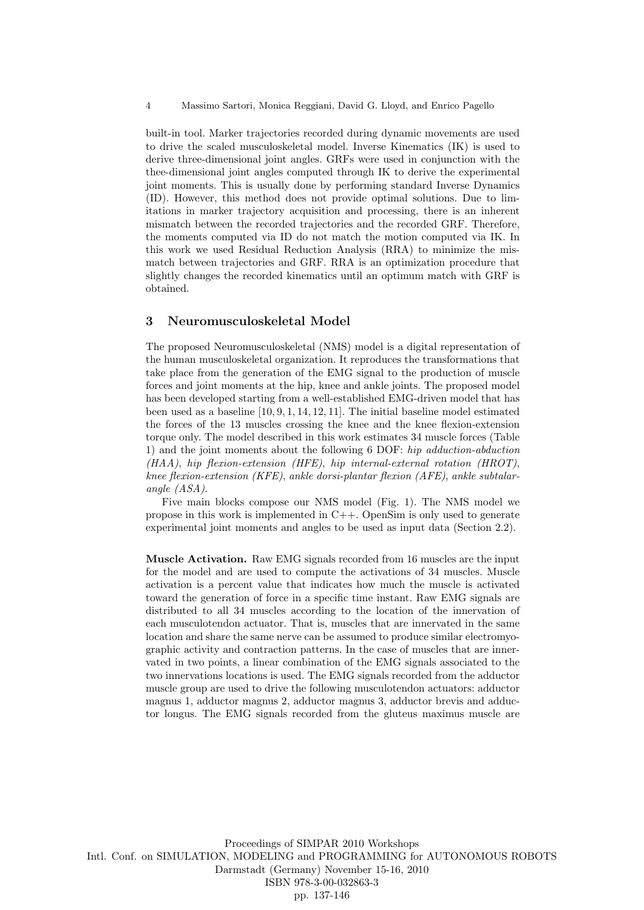built-in tool. Marker trajectories recorded during dynamic movements are used to drive the scaled musculoskeletal model. Inverse Kinematics (IK) is used to derive three-dimensional joint angles. GRFs were used in conjunction with the thee-dimensional joint angles computed through IK to derive the experimental joint moments. This is usually done by performing standard Inverse Dynamics (ID). However, this method does not provide optimal solutions. Due to limitations in marker trajectory acquisition and processing, there is an inherent mismatch between the recorded trajectories and the recorded GRF. Therefore, the moments computed via ID do not match the motion computed via IK. In this work we used Residual Reduction Analysis (RRA) to minimize the mismatch between trajectories and GRF. RRA is an optimization procedure that slightly changes the recorded kinematics until an optimum match with GRF is obtained.

## 3 Neuromusculoskeletal Model

The proposed Neuromusculoskeletal (NMS) model is a digital representation of the human musculoskeletal organization. It reproduces the transformations that take place from the generation of the EMG signal to the production of muscle forces and joint moments at the hip, knee and ankle joints. The proposed model has been developed starting from a well-established EMG-driven model that has been used as a baseline [10, 9, 1, 14, 12, 11]. The initial baseline model estimated the forces of the 13 muscles crossing the knee and the knee flexion-extension torque only. The model described in this work estimates 34 muscle forces (Table 1) and the joint moments about the following 6 DOF: hip adduction-abduction (HAA), hip flexion-extension (HFE), hip internal-external rotation (HROT), knee flexion-extension (KFE), ankle dorsi-plantar flexion (AFE), ankle subtalarangle (ASA).

Five main blocks compose our NMS model (Fig. 1). The NMS model we propose in this work is implemented in C++. OpenSim is only used to generate experimental joint moments and angles to be used as input data (Section 2.2).

Muscle Activation. Raw EMG signals recorded from 16 muscles are the input for the model and are used to compute the activations of 34 muscles. Muscle activation is a percent value that indicates how much the muscle is activated toward the generation of force in a specific time instant. Raw EMG signals are distributed to all 34 muscles according to the location of the innervation of each musculotendon actuator. That is, muscles that are innervated in the same location and share the same nerve can be assumed to produce similar electromyographic activity and contraction patterns. In the case of muscles that are innervated in two points, a linear combination of the EMG signals associated to the two innervations locations is used. The EMG signals recorded from the adductor muscle group are used to drive the following musculotendon actuators: adductor magnus 1, adductor magnus 2, adductor magnus 3, adductor brevis and adductor longus. The EMG signals recorded from the gluteus maximus muscle are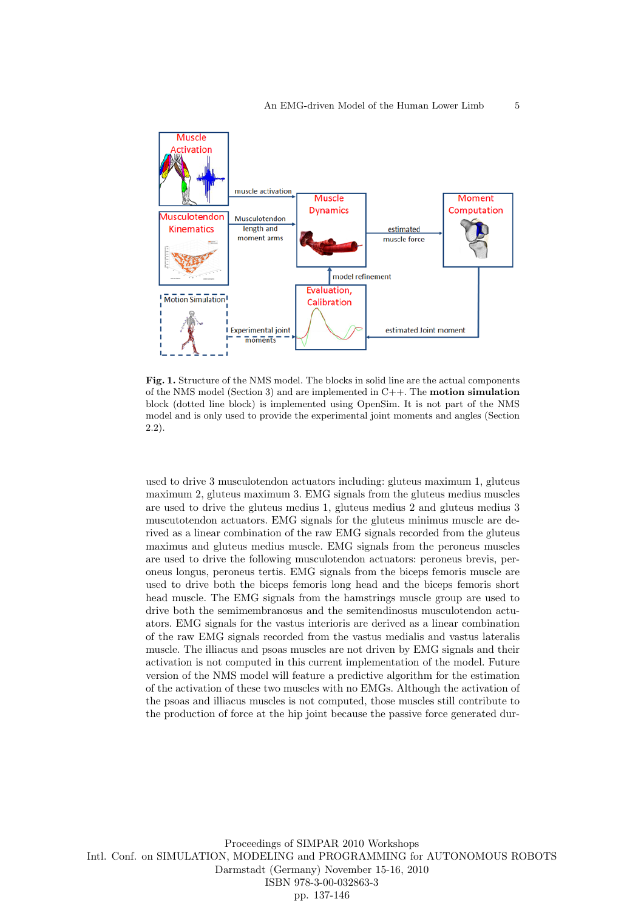

Fig. 1. Structure of the NMS model. The blocks in solid line are the actual components of the NMS model (Section 3) and are implemented in C++. The motion simulation block (dotted line block) is implemented using OpenSim. It is not part of the NMS model and is only used to provide the experimental joint moments and angles (Section 2.2).

used to drive 3 musculotendon actuators including: gluteus maximum 1, gluteus maximum 2, gluteus maximum 3. EMG signals from the gluteus medius muscles are used to drive the gluteus medius 1, gluteus medius 2 and gluteus medius 3 muscutotendon actuators. EMG signals for the gluteus minimus muscle are derived as a linear combination of the raw EMG signals recorded from the gluteus maximus and gluteus medius muscle. EMG signals from the peroneus muscles are used to drive the following musculotendon actuators: peroneus brevis, peroneus longus, peroneus tertis. EMG signals from the biceps femoris muscle are used to drive both the biceps femoris long head and the biceps femoris short head muscle. The EMG signals from the hamstrings muscle group are used to drive both the semimembranosus and the semitendinosus musculotendon actuators. EMG signals for the vastus interioris are derived as a linear combination of the raw EMG signals recorded from the vastus medialis and vastus lateralis muscle. The illiacus and psoas muscles are not driven by EMG signals and their activation is not computed in this current implementation of the model. Future version of the NMS model will feature a predictive algorithm for the estimation of the activation of these two muscles with no EMGs. Although the activation of the psoas and illiacus muscles is not computed, those muscles still contribute to the production of force at the hip joint because the passive force generated dur-

Proceedings of SIMPAR 2010 Workshops Intl. Conf. on SIMULATION, MODELING and PROGRAMMING for AUTONOMOUS ROBOTS Darmstadt (Germany) November 15-16, 2010 ISBN 978-3-00-032863-3 pp. 137-146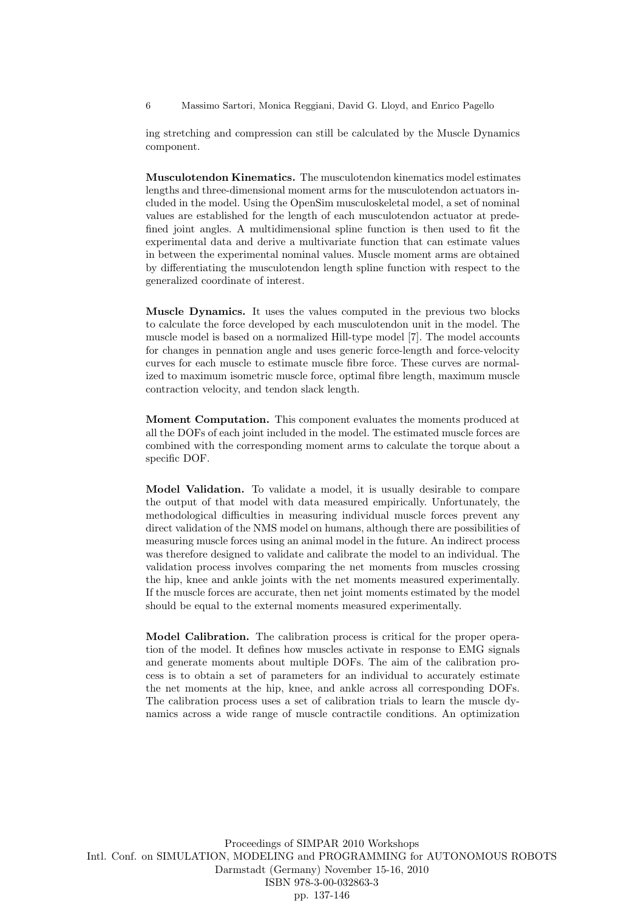6 Massimo Sartori, Monica Reggiani, David G. Lloyd, and Enrico Pagello

ing stretching and compression can still be calculated by the Muscle Dynamics component.

Musculotendon Kinematics. The musculotendon kinematics model estimates lengths and three-dimensional moment arms for the musculotendon actuators included in the model. Using the OpenSim musculoskeletal model, a set of nominal values are established for the length of each musculotendon actuator at predefined joint angles. A multidimensional spline function is then used to fit the experimental data and derive a multivariate function that can estimate values in between the experimental nominal values. Muscle moment arms are obtained by differentiating the musculotendon length spline function with respect to the generalized coordinate of interest.

Muscle Dynamics. It uses the values computed in the previous two blocks to calculate the force developed by each musculotendon unit in the model. The muscle model is based on a normalized Hill-type model [7]. The model accounts for changes in pennation angle and uses generic force-length and force-velocity curves for each muscle to estimate muscle fibre force. These curves are normalized to maximum isometric muscle force, optimal fibre length, maximum muscle contraction velocity, and tendon slack length.

Moment Computation. This component evaluates the moments produced at all the DOFs of each joint included in the model. The estimated muscle forces are combined with the corresponding moment arms to calculate the torque about a specific DOF.

Model Validation. To validate a model, it is usually desirable to compare the output of that model with data measured empirically. Unfortunately, the methodological difficulties in measuring individual muscle forces prevent any direct validation of the NMS model on humans, although there are possibilities of measuring muscle forces using an animal model in the future. An indirect process was therefore designed to validate and calibrate the model to an individual. The validation process involves comparing the net moments from muscles crossing the hip, knee and ankle joints with the net moments measured experimentally. If the muscle forces are accurate, then net joint moments estimated by the model should be equal to the external moments measured experimentally.

Model Calibration. The calibration process is critical for the proper operation of the model. It defines how muscles activate in response to EMG signals and generate moments about multiple DOFs. The aim of the calibration process is to obtain a set of parameters for an individual to accurately estimate the net moments at the hip, knee, and ankle across all corresponding DOFs. The calibration process uses a set of calibration trials to learn the muscle dynamics across a wide range of muscle contractile conditions. An optimization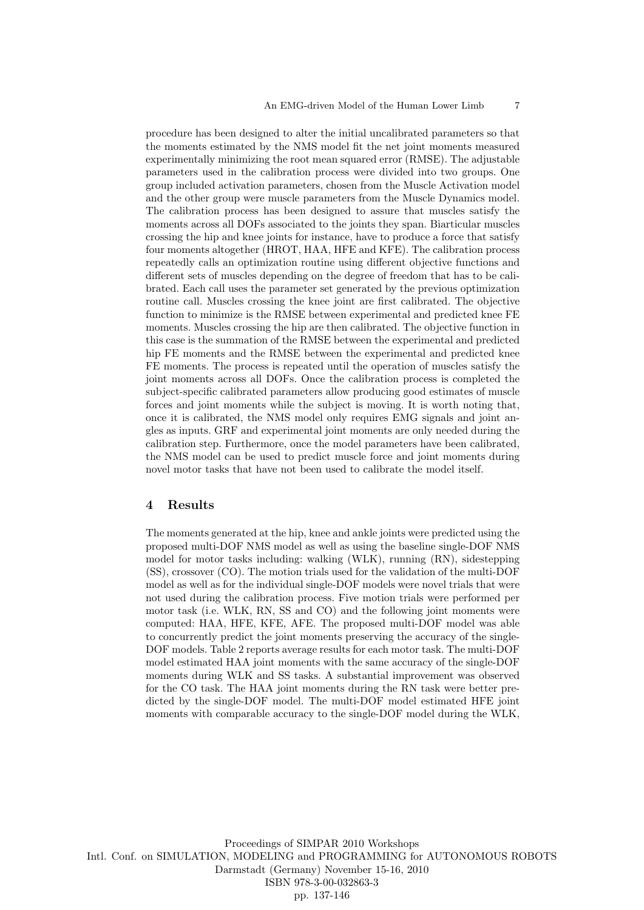procedure has been designed to alter the initial uncalibrated parameters so that the moments estimated by the NMS model fit the net joint moments measured experimentally minimizing the root mean squared error (RMSE). The adjustable parameters used in the calibration process were divided into two groups. One group included activation parameters, chosen from the Muscle Activation model and the other group were muscle parameters from the Muscle Dynamics model. The calibration process has been designed to assure that muscles satisfy the moments across all DOFs associated to the joints they span. Biarticular muscles crossing the hip and knee joints for instance, have to produce a force that satisfy four moments altogether (HROT, HAA, HFE and KFE). The calibration process repeatedly calls an optimization routine using different objective functions and different sets of muscles depending on the degree of freedom that has to be calibrated. Each call uses the parameter set generated by the previous optimization routine call. Muscles crossing the knee joint are first calibrated. The objective function to minimize is the RMSE between experimental and predicted knee FE moments. Muscles crossing the hip are then calibrated. The objective function in this case is the summation of the RMSE between the experimental and predicted hip FE moments and the RMSE between the experimental and predicted knee FE moments. The process is repeated until the operation of muscles satisfy the joint moments across all DOFs. Once the calibration process is completed the subject-specific calibrated parameters allow producing good estimates of muscle forces and joint moments while the subject is moving. It is worth noting that, once it is calibrated, the NMS model only requires EMG signals and joint angles as inputs. GRF and experimental joint moments are only needed during the calibration step. Furthermore, once the model parameters have been calibrated, the NMS model can be used to predict muscle force and joint moments during novel motor tasks that have not been used to calibrate the model itself.

## 4 Results

The moments generated at the hip, knee and ankle joints were predicted using the proposed multi-DOF NMS model as well as using the baseline single-DOF NMS model for motor tasks including: walking (WLK), running (RN), sidestepping (SS), crossover (CO). The motion trials used for the validation of the multi-DOF model as well as for the individual single-DOF models were novel trials that were not used during the calibration process. Five motion trials were performed per motor task (i.e. WLK, RN, SS and CO) and the following joint moments were computed: HAA, HFE, KFE, AFE. The proposed multi-DOF model was able to concurrently predict the joint moments preserving the accuracy of the single-DOF models. Table 2 reports average results for each motor task. The multi-DOF model estimated HAA joint moments with the same accuracy of the single-DOF moments during WLK and SS tasks. A substantial improvement was observed for the CO task. The HAA joint moments during the RN task were better predicted by the single-DOF model. The multi-DOF model estimated HFE joint moments with comparable accuracy to the single-DOF model during the WLK,

Proceedings of SIMPAR 2010 Workshops Intl. Conf. on SIMULATION, MODELING and PROGRAMMING for AUTONOMOUS ROBOTS Darmstadt (Germany) November 15-16, 2010 ISBN 978-3-00-032863-3 pp. 137-146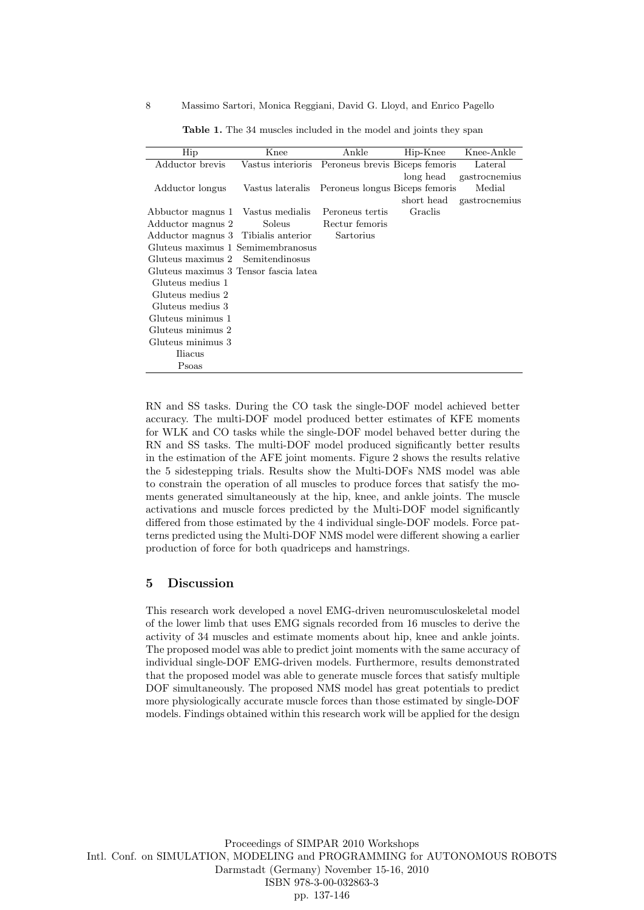8 Massimo Sartori, Monica Reggiani, David G. Lloyd, and Enrico Pagello

| Hip                                   | Knee                                             | Ankle           | Hip-Knee   | Knee-Ankle    |
|---------------------------------------|--------------------------------------------------|-----------------|------------|---------------|
| Adductor brevis                       | Vastus interioris Peroneus brevis Biceps femoris |                 |            | Lateral       |
|                                       |                                                  |                 | long head  | gastrocnemius |
| Adductor longus                       | Vastus lateralis Peroneus longus Biceps femoris  |                 |            | Medial        |
|                                       |                                                  |                 | short head | gastrocnemius |
| Abbuctor magnus 1 Vastus medialis     |                                                  | Peroneus tertis | Graclis    |               |
| Adductor magnus 2                     | Soleus                                           | Rectur femoris  |            |               |
| Adductor magnus 3 Tibialis anterior   |                                                  | Sartorius       |            |               |
| Gluteus maximus 1 Semimembranosus     |                                                  |                 |            |               |
| Gluteus maximus 2 Semitendinosus      |                                                  |                 |            |               |
| Gluteus maximus 3 Tensor fascia latea |                                                  |                 |            |               |
| Gluteus medius 1                      |                                                  |                 |            |               |
| Gluteus medius 2                      |                                                  |                 |            |               |
| Gluteus medius 3                      |                                                  |                 |            |               |
| Gluteus minimus 1                     |                                                  |                 |            |               |
| Gluteus minimus 2                     |                                                  |                 |            |               |
| Gluteus minimus 3                     |                                                  |                 |            |               |
| Iliacus                               |                                                  |                 |            |               |
| Psoas                                 |                                                  |                 |            |               |

Table 1. The 34 muscles included in the model and joints they span

RN and SS tasks. During the CO task the single-DOF model achieved better accuracy. The multi-DOF model produced better estimates of KFE moments for WLK and CO tasks while the single-DOF model behaved better during the RN and SS tasks. The multi-DOF model produced significantly better results in the estimation of the AFE joint moments. Figure 2 shows the results relative the 5 sidestepping trials. Results show the Multi-DOFs NMS model was able to constrain the operation of all muscles to produce forces that satisfy the moments generated simultaneously at the hip, knee, and ankle joints. The muscle activations and muscle forces predicted by the Multi-DOF model significantly differed from those estimated by the 4 individual single-DOF models. Force patterns predicted using the Multi-DOF NMS model were different showing a earlier production of force for both quadriceps and hamstrings.

## 5 Discussion

This research work developed a novel EMG-driven neuromusculoskeletal model of the lower limb that uses EMG signals recorded from 16 muscles to derive the activity of 34 muscles and estimate moments about hip, knee and ankle joints. The proposed model was able to predict joint moments with the same accuracy of individual single-DOF EMG-driven models. Furthermore, results demonstrated that the proposed model was able to generate muscle forces that satisfy multiple DOF simultaneously. The proposed NMS model has great potentials to predict more physiologically accurate muscle forces than those estimated by single-DOF models. Findings obtained within this research work will be applied for the design

Proceedings of SIMPAR 2010 Workshops Intl. Conf. on SIMULATION, MODELING and PROGRAMMING for AUTONOMOUS ROBOTS Darmstadt (Germany) November 15-16, 2010 ISBN 978-3-00-032863-3 pp. 137-146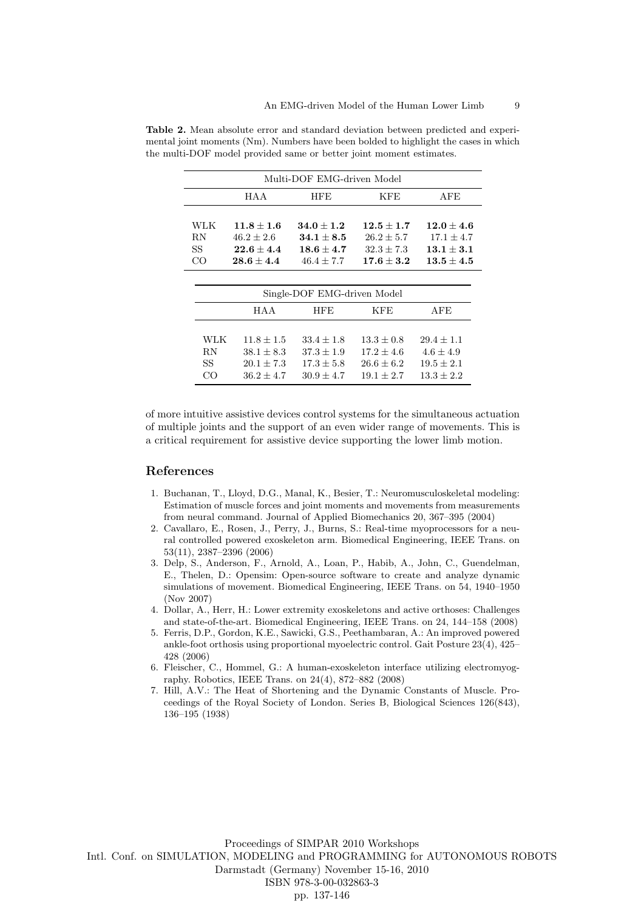| Multi-DOF EMG-driven Model  |                                  |                                  |                  |                                  |  |  |  |
|-----------------------------|----------------------------------|----------------------------------|------------------|----------------------------------|--|--|--|
|                             | HAA                              | <b>HFE</b>                       | KFE              | AFE                              |  |  |  |
|                             |                                  |                                  |                  |                                  |  |  |  |
| WLK                         | $11.8 + 1.6$                     | $34.0 + 1.2$                     | $12.5 + 1.7$     | $12.0 \pm 4.6$                   |  |  |  |
| RN                          | $46.2 \pm 2.6$                   | $\textbf{34.1} \pm \textbf{8.5}$ | $26.2 \pm 5.7$   | $17.1 \pm 4.7$                   |  |  |  |
| SS                          | $\textbf{22.6} \pm \textbf{4.4}$ | $18.6 + 4.7$                     | $32.3 \pm 7.3$   | $13.1 \pm 3.1$                   |  |  |  |
| CO                          | $\textbf{28.6} \pm \textbf{4.4}$ | $46.4 \pm 7.7$                   | $\bf 17.6\pm3.2$ | $\textbf{13.5} \pm \textbf{4.5}$ |  |  |  |
|                             |                                  |                                  |                  |                                  |  |  |  |
| Single-DOF EMG-driven Model |                                  |                                  |                  |                                  |  |  |  |
|                             | HAA                              | <b>HFE</b>                       | KFE              | AFE                              |  |  |  |
|                             |                                  |                                  |                  |                                  |  |  |  |
| WLK                         | $11.8 \pm 1.5$                   | $33.4 \pm 1.8$                   | $13.3 \pm 0.8$   | $29.4 \pm 1.1$                   |  |  |  |
| RN                          | $38.1 \pm 8.3$                   | $37.3 \pm 1.9$                   | $17.2 \pm 4.6$   | $4.6 \pm 4.9$                    |  |  |  |
| SS                          | $20.1 \pm 7.3$                   | $17.3 \pm 5.8$                   | $26.6 \pm 6.2$   | $19.5 \pm 2.1$                   |  |  |  |
| CO                          | $36.2 + 4.7$                     | $30.9 + 4.7$                     | $19.1 + 2.7$     | $13.3 + 2.2$                     |  |  |  |

Table 2. Mean absolute error and standard deviation between predicted and experimental joint moments (Nm). Numbers have been bolded to highlight the cases in which the multi-DOF model provided same or better joint moment estimates.

of more intuitive assistive devices control systems for the simultaneous actuation of multiple joints and the support of an even wider range of movements. This is a critical requirement for assistive device supporting the lower limb motion.

# References

- 1. Buchanan, T., Lloyd, D.G., Manal, K., Besier, T.: Neuromusculoskeletal modeling: Estimation of muscle forces and joint moments and movements from measurements from neural command. Journal of Applied Biomechanics 20, 367–395 (2004)
- 2. Cavallaro, E., Rosen, J., Perry, J., Burns, S.: Real-time myoprocessors for a neural controlled powered exoskeleton arm. Biomedical Engineering, IEEE Trans. on 53(11), 2387–2396 (2006)
- 3. Delp, S., Anderson, F., Arnold, A., Loan, P., Habib, A., John, C., Guendelman, E., Thelen, D.: Opensim: Open-source software to create and analyze dynamic simulations of movement. Biomedical Engineering, IEEE Trans. on 54, 1940–1950 (Nov 2007)
- 4. Dollar, A., Herr, H.: Lower extremity exoskeletons and active orthoses: Challenges and state-of-the-art. Biomedical Engineering, IEEE Trans. on 24, 144–158 (2008)
- 5. Ferris, D.P., Gordon, K.E., Sawicki, G.S., Peethambaran, A.: An improved powered ankle-foot orthosis using proportional myoelectric control. Gait Posture 23(4), 425– 428 (2006)
- 6. Fleischer, C., Hommel, G.: A human-exoskeleton interface utilizing electromyography. Robotics, IEEE Trans. on 24(4), 872–882 (2008)
- 7. Hill, A.V.: The Heat of Shortening and the Dynamic Constants of Muscle. Proceedings of the Royal Society of London. Series B, Biological Sciences 126(843), 136–195 (1938)